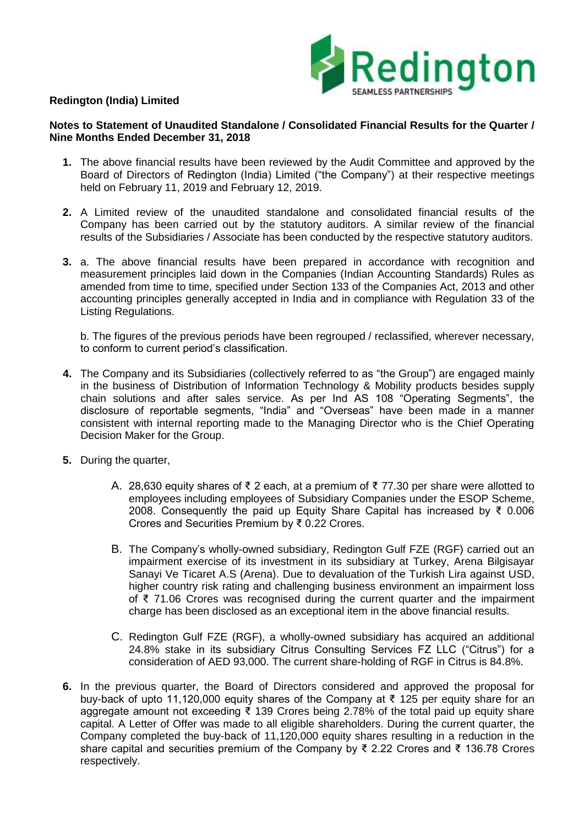

## **Redington (India) Limited**

### **Notes to Statement of Unaudited Standalone / Consolidated Financial Results for the Quarter / Nine Months Ended December 31, 2018**

- **1.** The above financial results have been reviewed by the Audit Committee and approved by the Board of Directors of Redington (India) Limited ("the Company") at their respective meetings held on February 11, 2019 and February 12, 2019.
- **2.** A Limited review of the unaudited standalone and consolidated financial results of the Company has been carried out by the statutory auditors. A similar review of the financial results of the Subsidiaries / Associate has been conducted by the respective statutory auditors.
- **3.** a. The above financial results have been prepared in accordance with recognition and measurement principles laid down in the Companies (Indian Accounting Standards) Rules as amended from time to time, specified under Section 133 of the Companies Act, 2013 and other accounting principles generally accepted in India and in compliance with Regulation 33 of the Listing Regulations.

b. The figures of the previous periods have been regrouped / reclassified, wherever necessary, to conform to current period's classification.

- **4.** The Company and its Subsidiaries (collectively referred to as "the Group") are engaged mainly in the business of Distribution of Information Technology & Mobility products besides supply chain solutions and after sales service. As per Ind AS 108 "Operating Segments", the disclosure of reportable segments, "India" and "Overseas" have been made in a manner consistent with internal reporting made to the Managing Director who is the Chief Operating Decision Maker for the Group.
- **5.** During the quarter,
	- A. 28,630 equity shares of ₹ 2 each, at a premium of ₹ 77.30 per share were allotted to employees including employees of Subsidiary Companies under the ESOP Scheme, 2008. Consequently the paid up Equity Share Capital has increased by ₹ 0.006 Crores and Securities Premium by ₹ 0.22 Crores.
	- B. The Company's wholly-owned subsidiary, Redington Gulf FZE (RGF) carried out an impairment exercise of its investment in its subsidiary at Turkey, Arena Bilgisayar Sanayi Ve Ticaret A.S (Arena). Due to devaluation of the Turkish Lira against USD, higher country risk rating and challenging business environment an impairment loss of ₹ 71.06 Crores was recognised during the current quarter and the impairment charge has been disclosed as an exceptional item in the above financial results.
	- C. Redington Gulf FZE (RGF), a wholly-owned subsidiary has acquired an additional 24.8% stake in its subsidiary Citrus Consulting Services FZ LLC ("Citrus") for a consideration of AED 93,000. The current share-holding of RGF in Citrus is 84.8%.
- **6.** In the previous quarter, the Board of Directors considered and approved the proposal for buy-back of upto 11,120,000 equity shares of the Company at ₹ 125 per equity share for an aggregate amount not exceeding ₹ 139 Crores being 2.78% of the total paid up equity share capital. A Letter of Offer was made to all eligible shareholders. During the current quarter, the Company completed the buy-back of 11,120,000 equity shares resulting in a reduction in the share capital and securities premium of the Company by ₹ 2.22 Crores and ₹ 136.78 Crores respectively.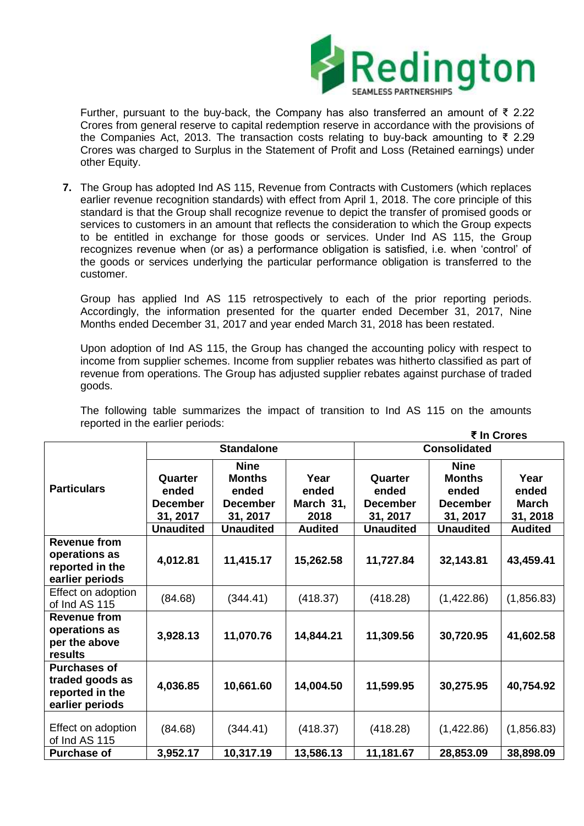

Further, pursuant to the buy-back, the Company has also transferred an amount of ₹ 2.22 Crores from general reserve to capital redemption reserve in accordance with the provisions of the Companies Act, 2013. The transaction costs relating to buy-back amounting to ₹ 2.29 Crores was charged to Surplus in the Statement of Profit and Loss (Retained earnings) under other Equity.

**7.** The Group has adopted Ind AS 115, Revenue from Contracts with Customers (which replaces earlier revenue recognition standards) with effect from April 1, 2018. The core principle of this standard is that the Group shall recognize revenue to depict the transfer of promised goods or services to customers in an amount that reflects the consideration to which the Group expects to be entitled in exchange for those goods or services. Under Ind AS 115, the Group recognizes revenue when (or as) a performance obligation is satisfied, i.e. when 'control' of the goods or services underlying the particular performance obligation is transferred to the customer.

Group has applied Ind AS 115 retrospectively to each of the prior reporting periods. Accordingly, the information presented for the quarter ended December 31, 2017, Nine Months ended December 31, 2017 and year ended March 31, 2018 has been restated.

Upon adoption of Ind AS 115, the Group has changed the accounting policy with respect to income from supplier schemes. Income from supplier rebates was hitherto classified as part of revenue from operations. The Group has adjusted supplier rebates against purchase of traded goods.

|                                                                              |                                                                     |                                                                                          |                                                      |                                                                     | ₹ In Crores                                                                              |                                                             |  |
|------------------------------------------------------------------------------|---------------------------------------------------------------------|------------------------------------------------------------------------------------------|------------------------------------------------------|---------------------------------------------------------------------|------------------------------------------------------------------------------------------|-------------------------------------------------------------|--|
|                                                                              | <b>Standalone</b>                                                   |                                                                                          |                                                      | <b>Consolidated</b>                                                 |                                                                                          |                                                             |  |
| <b>Particulars</b>                                                           | Quarter<br>ended<br><b>December</b><br>31, 2017<br><b>Unaudited</b> | <b>Nine</b><br><b>Months</b><br>ended<br><b>December</b><br>31, 2017<br><b>Unaudited</b> | Year<br>ended<br>March 31,<br>2018<br><b>Audited</b> | Quarter<br>ended<br><b>December</b><br>31, 2017<br><b>Unaudited</b> | <b>Nine</b><br><b>Months</b><br>ended<br><b>December</b><br>31, 2017<br><b>Unaudited</b> | Year<br>ended<br><b>March</b><br>31, 2018<br><b>Audited</b> |  |
| <b>Revenue from</b><br>operations as<br>reported in the<br>earlier periods   | 4,012.81                                                            | 11,415.17                                                                                | 15,262.58                                            | 11,727.84                                                           | 32,143.81                                                                                | 43,459.41                                                   |  |
| Effect on adoption<br>of Ind AS 115                                          | (84.68)                                                             | (344.41)                                                                                 | (418.37)                                             | (418.28)                                                            | (1,422.86)                                                                               | (1,856.83)                                                  |  |
| <b>Revenue from</b><br>operations as<br>per the above<br>results             | 3,928.13                                                            | 11,070.76                                                                                | 14,844.21                                            | 11,309.56                                                           | 30,720.95                                                                                | 41,602.58                                                   |  |
| <b>Purchases of</b><br>traded goods as<br>reported in the<br>earlier periods | 4,036.85                                                            | 10,661.60                                                                                | 14,004.50                                            | 11,599.95                                                           | 30,275.95                                                                                | 40,754.92                                                   |  |
| Effect on adoption<br>of Ind AS 115                                          | (84.68)                                                             | (344.41)                                                                                 | (418.37)                                             | (418.28)                                                            | (1,422.86)                                                                               | (1,856.83)                                                  |  |
| <b>Purchase of</b>                                                           | 3,952.17                                                            | 10,317.19                                                                                | 13,586.13                                            | 11,181.67                                                           | 28,853.09                                                                                | 38,898.09                                                   |  |

The following table summarizes the impact of transition to Ind AS 115 on the amounts reported in the earlier periods: